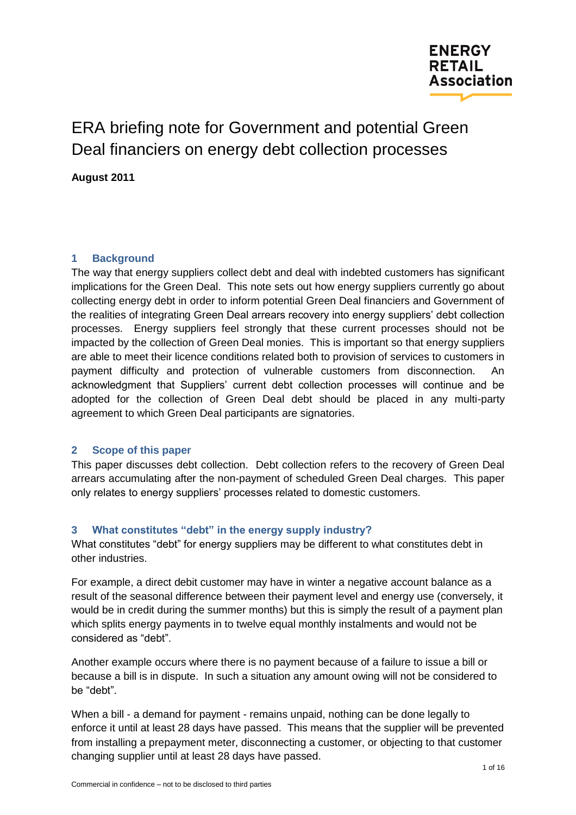

# ERA briefing note for Government and potential Green Deal financiers on energy debt collection processes

**August 2011**

# **1 Background**

The way that energy suppliers collect debt and deal with indebted customers has significant implications for the Green Deal. This note sets out how energy suppliers currently go about collecting energy debt in order to inform potential Green Deal financiers and Government of the realities of integrating Green Deal arrears recovery into energy suppliers' debt collection processes. Energy suppliers feel strongly that these current processes should not be impacted by the collection of Green Deal monies. This is important so that energy suppliers are able to meet their licence conditions related both to provision of services to customers in payment difficulty and protection of vulnerable customers from disconnection. An acknowledgment that Suppliers' current debt collection processes will continue and be adopted for the collection of Green Deal debt should be placed in any multi-party agreement to which Green Deal participants are signatories.

# **2 Scope of this paper**

This paper discusses debt collection. Debt collection refers to the recovery of Green Deal arrears accumulating after the non-payment of scheduled Green Deal charges. This paper only relates to energy suppliers' processes related to domestic customers.

# **3 What constitutes "debt" in the energy supply industry?**

What constitutes "debt" for energy suppliers may be different to what constitutes debt in other industries.

For example, a direct debit customer may have in winter a negative account balance as a result of the seasonal difference between their payment level and energy use (conversely, it would be in credit during the summer months) but this is simply the result of a payment plan which splits energy payments in to twelve equal monthly instalments and would not be considered as "debt".

Another example occurs where there is no payment because of a failure to issue a bill or because a bill is in dispute. In such a situation any amount owing will not be considered to be "debt".

When a bill - a demand for payment - remains unpaid, nothing can be done legally to enforce it until at least 28 days have passed. This means that the supplier will be prevented from installing a prepayment meter, disconnecting a customer, or objecting to that customer changing supplier until at least 28 days have passed.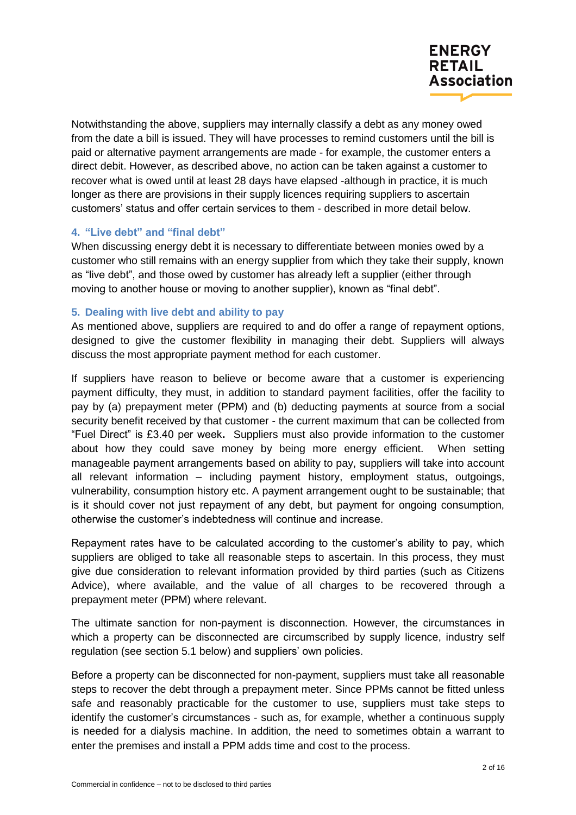

Notwithstanding the above, suppliers may internally classify a debt as any money owed from the date a bill is issued. They will have processes to remind customers until the bill is paid or alternative payment arrangements are made - for example, the customer enters a direct debit. However, as described above, no action can be taken against a customer to recover what is owed until at least 28 days have elapsed -although in practice, it is much longer as there are provisions in their supply licences requiring suppliers to ascertain customers' status and offer certain services to them - described in more detail below.

# **4. "Live debt" and "final debt"**

When discussing energy debt it is necessary to differentiate between monies owed by a customer who still remains with an energy supplier from which they take their supply, known as "live debt", and those owed by customer has already left a supplier (either through moving to another house or moving to another supplier), known as "final debt".

## **5. Dealing with live debt and ability to pay**

As mentioned above, suppliers are required to and do offer a range of repayment options, designed to give the customer flexibility in managing their debt. Suppliers will always discuss the most appropriate payment method for each customer.

If suppliers have reason to believe or become aware that a customer is experiencing payment difficulty, they must, in addition to standard payment facilities, offer the facility to pay by (a) prepayment meter (PPM) and (b) deducting payments at source from a social security benefit received by that customer - the current maximum that can be collected from ―Fuel Direct‖ is £3.40 per week**.** Suppliers must also provide information to the customer about how they could save money by being more energy efficient. When setting manageable payment arrangements based on ability to pay, suppliers will take into account all relevant information – including payment history, employment status, outgoings, vulnerability, consumption history etc. A payment arrangement ought to be sustainable; that is it should cover not just repayment of any debt, but payment for ongoing consumption, otherwise the customer's indebtedness will continue and increase.

Repayment rates have to be calculated according to the customer's ability to pay, which suppliers are obliged to take all reasonable steps to ascertain. In this process, they must give due consideration to relevant information provided by third parties (such as Citizens Advice), where available, and the value of all charges to be recovered through a prepayment meter (PPM) where relevant.

The ultimate sanction for non-payment is disconnection. However, the circumstances in which a property can be disconnected are circumscribed by supply licence, industry self regulation (see section 5.1 below) and suppliers' own policies.

Before a property can be disconnected for non-payment, suppliers must take all reasonable steps to recover the debt through a prepayment meter. Since PPMs cannot be fitted unless safe and reasonably practicable for the customer to use, suppliers must take steps to identify the customer's circumstances - such as, for example, whether a continuous supply is needed for a dialysis machine. In addition, the need to sometimes obtain a warrant to enter the premises and install a PPM adds time and cost to the process.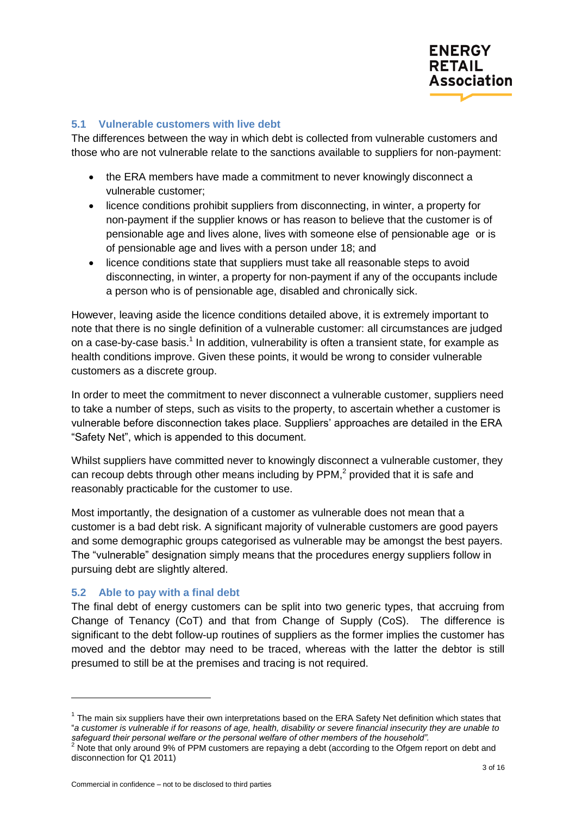

# **5.1 Vulnerable customers with live debt**

The differences between the way in which debt is collected from vulnerable customers and those who are not vulnerable relate to the sanctions available to suppliers for non-payment:

- the ERA members have made a commitment to never knowingly disconnect a vulnerable customer;
- licence conditions prohibit suppliers from disconnecting, in winter, a property for non-payment if the supplier knows or has reason to believe that the customer is of pensionable age and lives alone, lives with someone else of pensionable age or is of pensionable age and lives with a person under 18; and
- licence conditions state that suppliers must take all reasonable steps to avoid disconnecting, in winter, a property for non-payment if any of the occupants include a person who is of pensionable age, disabled and chronically sick.

However, leaving aside the licence conditions detailed above, it is extremely important to note that there is no single definition of a vulnerable customer: all circumstances are judged on a case-by-case basis.<sup>1</sup> In addition, vulnerability is often a transient state, for example as health conditions improve. Given these points, it would be wrong to consider vulnerable customers as a discrete group.

In order to meet the commitment to never disconnect a vulnerable customer, suppliers need to take a number of steps, such as visits to the property, to ascertain whether a customer is vulnerable before disconnection takes place. Suppliers' approaches are detailed in the ERA "Safety Net", which is appended to this document.

Whilst suppliers have committed never to knowingly disconnect a vulnerable customer, they can recoup debts through other means including by  $PPM<sub>i</sub><sup>2</sup>$  provided that it is safe and reasonably practicable for the customer to use.

Most importantly, the designation of a customer as vulnerable does not mean that a customer is a bad debt risk. A significant majority of vulnerable customers are good payers and some demographic groups categorised as vulnerable may be amongst the best payers. The "vulnerable" designation simply means that the procedures energy suppliers follow in pursuing debt are slightly altered.

#### **5.2 Able to pay with a final debt**

 $\overline{a}$ 

The final debt of energy customers can be split into two generic types, that accruing from Change of Tenancy (CoT) and that from Change of Supply (CoS). The difference is significant to the debt follow-up routines of suppliers as the former implies the customer has moved and the debtor may need to be traced, whereas with the latter the debtor is still presumed to still be at the premises and tracing is not required.

 $1$  The main six suppliers have their own interpretations based on the ERA Safety Net definition which states that ―*a customer is vulnerable if for reasons of age, health, disability or severe financial insecurity they are unable to safeguard their personal welfare or the personal welfare of other members of the household".*

 $2$  Note that only around 9% of PPM customers are repaying a debt (according to the Ofgem report on debt and disconnection for Q1 2011)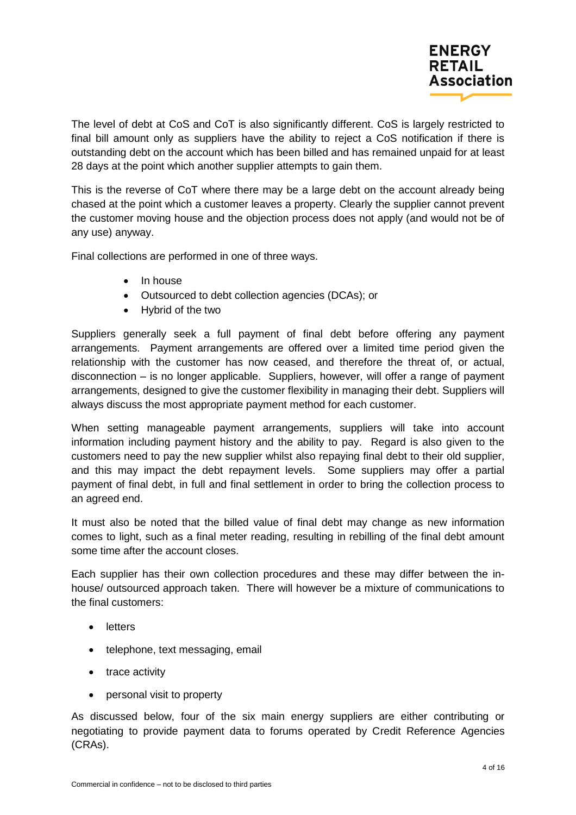The level of debt at CoS and CoT is also significantly different. CoS is largely restricted to final bill amount only as suppliers have the ability to reject a CoS notification if there is outstanding debt on the account which has been billed and has remained unpaid for at least 28 days at the point which another supplier attempts to gain them.

This is the reverse of CoT where there may be a large debt on the account already being chased at the point which a customer leaves a property. Clearly the supplier cannot prevent the customer moving house and the objection process does not apply (and would not be of any use) anyway.

Final collections are performed in one of three ways.

- In house
- Outsourced to debt collection agencies (DCAs); or
- Hybrid of the two

Suppliers generally seek a full payment of final debt before offering any payment arrangements. Payment arrangements are offered over a limited time period given the relationship with the customer has now ceased, and therefore the threat of, or actual, disconnection – is no longer applicable. Suppliers, however, will offer a range of payment arrangements, designed to give the customer flexibility in managing their debt. Suppliers will always discuss the most appropriate payment method for each customer.

When setting manageable payment arrangements, suppliers will take into account information including payment history and the ability to pay. Regard is also given to the customers need to pay the new supplier whilst also repaying final debt to their old supplier, and this may impact the debt repayment levels. Some suppliers may offer a partial payment of final debt, in full and final settlement in order to bring the collection process to an agreed end.

It must also be noted that the billed value of final debt may change as new information comes to light, such as a final meter reading, resulting in rebilling of the final debt amount some time after the account closes.

Each supplier has their own collection procedures and these may differ between the inhouse/ outsourced approach taken. There will however be a mixture of communications to the final customers:

- letters
- telephone, text messaging, email
- trace activity
- personal visit to property

As discussed below, four of the six main energy suppliers are either contributing or negotiating to provide payment data to forums operated by Credit Reference Agencies (CRAs).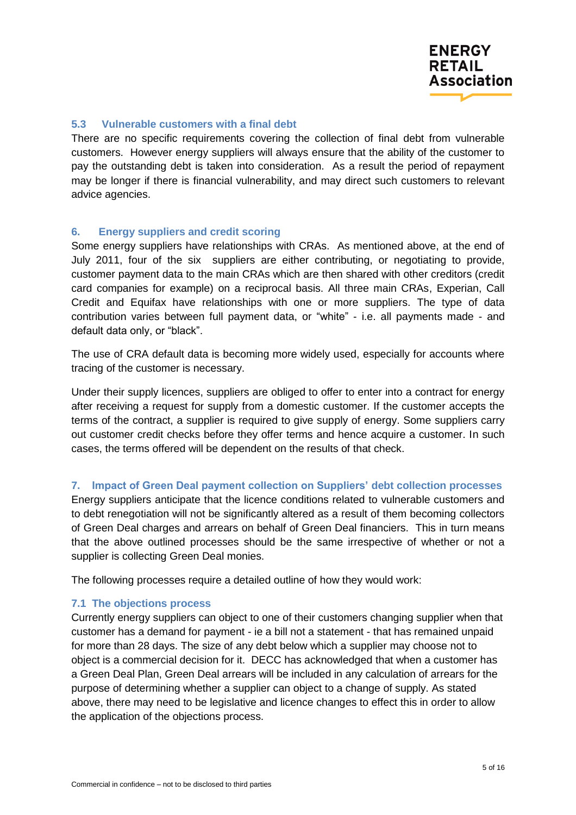

# **5.3 Vulnerable customers with a final debt**

There are no specific requirements covering the collection of final debt from vulnerable customers. However energy suppliers will always ensure that the ability of the customer to pay the outstanding debt is taken into consideration. As a result the period of repayment may be longer if there is financial vulnerability, and may direct such customers to relevant advice agencies.

## **6. Energy suppliers and credit scoring**

Some energy suppliers have relationships with CRAs. As mentioned above, at the end of July 2011, four of the six suppliers are either contributing, or negotiating to provide, customer payment data to the main CRAs which are then shared with other creditors (credit card companies for example) on a reciprocal basis. All three main CRAs, Experian, Call Credit and Equifax have relationships with one or more suppliers. The type of data contribution varies between full payment data, or "white" - i.e. all payments made - and default data only, or "black".

The use of CRA default data is becoming more widely used, especially for accounts where tracing of the customer is necessary.

Under their supply licences, suppliers are obliged to offer to enter into a contract for energy after receiving a request for supply from a domestic customer. If the customer accepts the terms of the contract, a supplier is required to give supply of energy. Some suppliers carry out customer credit checks before they offer terms and hence acquire a customer. In such cases, the terms offered will be dependent on the results of that check.

#### **7. Impact of Green Deal payment collection on Suppliers" debt collection processes**

Energy suppliers anticipate that the licence conditions related to vulnerable customers and to debt renegotiation will not be significantly altered as a result of them becoming collectors of Green Deal charges and arrears on behalf of Green Deal financiers. This in turn means that the above outlined processes should be the same irrespective of whether or not a supplier is collecting Green Deal monies.

The following processes require a detailed outline of how they would work:

#### **7.1 The objections process**

Currently energy suppliers can object to one of their customers changing supplier when that customer has a demand for payment - ie a bill not a statement - that has remained unpaid for more than 28 days. The size of any debt below which a supplier may choose not to object is a commercial decision for it. DECC has acknowledged that when a customer has a Green Deal Plan, Green Deal arrears will be included in any calculation of arrears for the purpose of determining whether a supplier can object to a change of supply. As stated above, there may need to be legislative and licence changes to effect this in order to allow the application of the objections process.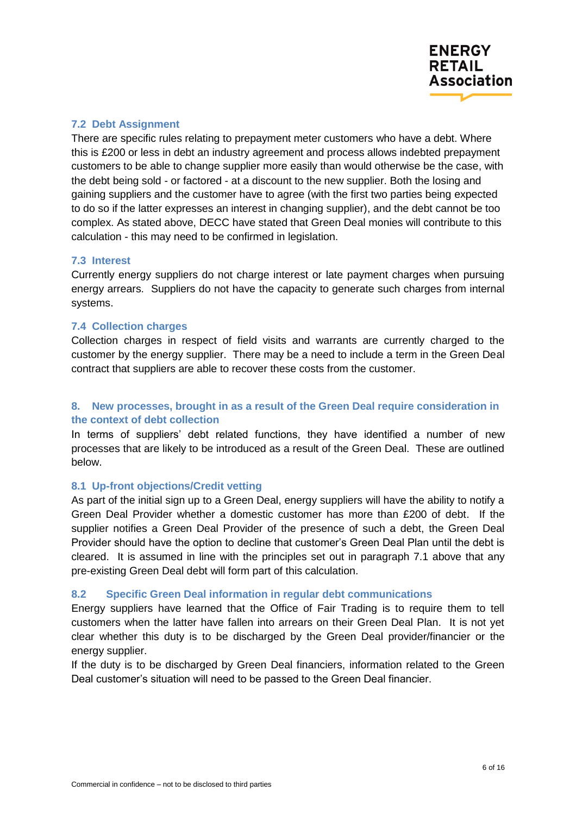## **7.2 Debt Assignment**

There are specific rules relating to prepayment meter customers who have a debt. Where this is £200 or less in debt an industry agreement and process allows indebted prepayment customers to be able to change supplier more easily than would otherwise be the case, with the debt being sold - or factored - at a discount to the new supplier. Both the losing and gaining suppliers and the customer have to agree (with the first two parties being expected to do so if the latter expresses an interest in changing supplier), and the debt cannot be too complex. As stated above, DECC have stated that Green Deal monies will contribute to this calculation - this may need to be confirmed in legislation.

## **7.3 Interest**

Currently energy suppliers do not charge interest or late payment charges when pursuing energy arrears. Suppliers do not have the capacity to generate such charges from internal systems.

## **7.4 Collection charges**

Collection charges in respect of field visits and warrants are currently charged to the customer by the energy supplier. There may be a need to include a term in the Green Deal contract that suppliers are able to recover these costs from the customer.

# **8. New processes, brought in as a result of the Green Deal require consideration in the context of debt collection**

In terms of suppliers' debt related functions, they have identified a number of new processes that are likely to be introduced as a result of the Green Deal. These are outlined below.

# **8.1 Up-front objections/Credit vetting**

As part of the initial sign up to a Green Deal, energy suppliers will have the ability to notify a Green Deal Provider whether a domestic customer has more than £200 of debt. If the supplier notifies a Green Deal Provider of the presence of such a debt, the Green Deal Provider should have the option to decline that customer's Green Deal Plan until the debt is cleared. It is assumed in line with the principles set out in paragraph 7.1 above that any pre-existing Green Deal debt will form part of this calculation.

#### **8.2 Specific Green Deal information in regular debt communications**

Energy suppliers have learned that the Office of Fair Trading is to require them to tell customers when the latter have fallen into arrears on their Green Deal Plan. It is not yet clear whether this duty is to be discharged by the Green Deal provider/financier or the energy supplier.

If the duty is to be discharged by Green Deal financiers, information related to the Green Deal customer's situation will need to be passed to the Green Deal financier.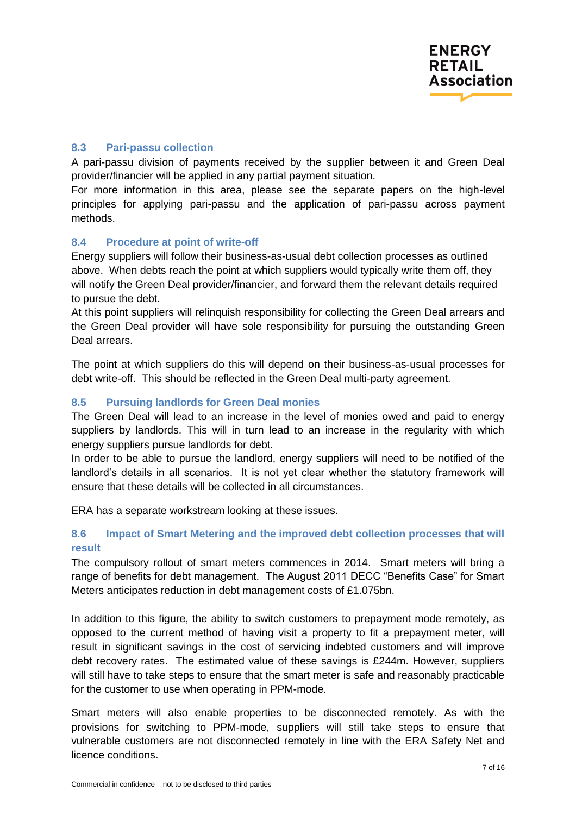# **8.3 Pari-passu collection**

A pari-passu division of payments received by the supplier between it and Green Deal provider/financier will be applied in any partial payment situation.

For more information in this area, please see the separate papers on the high-level principles for applying pari-passu and the application of pari-passu across payment methods.

# **8.4 Procedure at point of write-off**

Energy suppliers will follow their business-as-usual debt collection processes as outlined above. When debts reach the point at which suppliers would typically write them off, they will notify the Green Deal provider/financier, and forward them the relevant details required to pursue the debt.

At this point suppliers will relinquish responsibility for collecting the Green Deal arrears and the Green Deal provider will have sole responsibility for pursuing the outstanding Green Deal arrears.

The point at which suppliers do this will depend on their business-as-usual processes for debt write-off. This should be reflected in the Green Deal multi-party agreement.

# **8.5 Pursuing landlords for Green Deal monies**

The Green Deal will lead to an increase in the level of monies owed and paid to energy suppliers by landlords. This will in turn lead to an increase in the regularity with which energy suppliers pursue landlords for debt.

In order to be able to pursue the landlord, energy suppliers will need to be notified of the landlord's details in all scenarios. It is not yet clear whether the statutory framework will ensure that these details will be collected in all circumstances.

ERA has a separate workstream looking at these issues.

# **8.6 Impact of Smart Metering and the improved debt collection processes that will result**

The compulsory rollout of smart meters commences in 2014. Smart meters will bring a range of benefits for debt management. The August 2011 DECC "Benefits Case" for Smart Meters anticipates reduction in debt management costs of £1.075bn.

In addition to this figure, the ability to switch customers to prepayment mode remotely, as opposed to the current method of having visit a property to fit a prepayment meter, will result in significant savings in the cost of servicing indebted customers and will improve debt recovery rates. The estimated value of these savings is £244m. However, suppliers will still have to take steps to ensure that the smart meter is safe and reasonably practicable for the customer to use when operating in PPM-mode.

Smart meters will also enable properties to be disconnected remotely. As with the provisions for switching to PPM-mode, suppliers will still take steps to ensure that vulnerable customers are not disconnected remotely in line with the ERA Safety Net and licence conditions.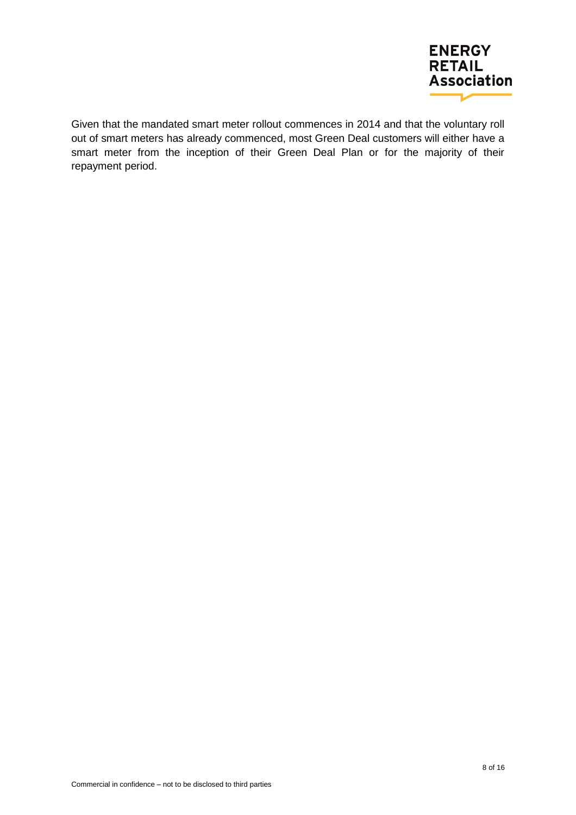

Given that the mandated smart meter rollout commences in 2014 and that the voluntary roll out of smart meters has already commenced, most Green Deal customers will either have a smart meter from the inception of their Green Deal Plan or for the majority of their repayment period.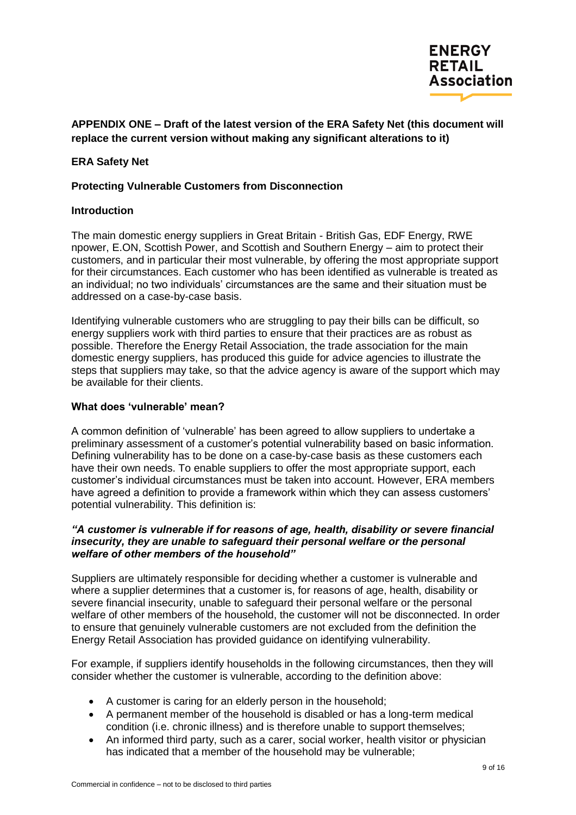

# **APPENDIX ONE – Draft of the latest version of the ERA Safety Net (this document will replace the current version without making any significant alterations to it)**

## **ERA Safety Net**

#### **Protecting Vulnerable Customers from Disconnection**

#### **Introduction**

The main domestic energy suppliers in Great Britain - British Gas, EDF Energy, RWE npower, E.ON, Scottish Power, and Scottish and Southern Energy – aim to protect their customers, and in particular their most vulnerable, by offering the most appropriate support for their circumstances. Each customer who has been identified as vulnerable is treated as an individual; no two individuals' circumstances are the same and their situation must be addressed on a case-by-case basis.

Identifying vulnerable customers who are struggling to pay their bills can be difficult, so energy suppliers work with third parties to ensure that their practices are as robust as possible. Therefore the Energy Retail Association, the trade association for the main domestic energy suppliers, has produced this guide for advice agencies to illustrate the steps that suppliers may take, so that the advice agency is aware of the support which may be available for their clients.

#### **What does "vulnerable" mean?**

A common definition of 'vulnerable' has been agreed to allow suppliers to undertake a preliminary assessment of a customer's potential vulnerability based on basic information. Defining vulnerability has to be done on a case-by-case basis as these customers each have their own needs. To enable suppliers to offer the most appropriate support, each customer's individual circumstances must be taken into account. However, ERA members have agreed a definition to provide a framework within which they can assess customers' potential vulnerability. This definition is:

## *"A customer is vulnerable if for reasons of age, health, disability or severe financial insecurity, they are unable to safeguard their personal welfare or the personal welfare of other members of the household"*

Suppliers are ultimately responsible for deciding whether a customer is vulnerable and where a supplier determines that a customer is, for reasons of age, health, disability or severe financial insecurity, unable to safeguard their personal welfare or the personal welfare of other members of the household, the customer will not be disconnected. In order to ensure that genuinely vulnerable customers are not excluded from the definition the Energy Retail Association has provided guidance on identifying vulnerability.

For example, if suppliers identify households in the following circumstances, then they will consider whether the customer is vulnerable, according to the definition above:

- A customer is caring for an elderly person in the household;
- A permanent member of the household is disabled or has a long-term medical condition (i.e. chronic illness) and is therefore unable to support themselves;
- An informed third party, such as a carer, social worker, health visitor or physician has indicated that a member of the household may be vulnerable;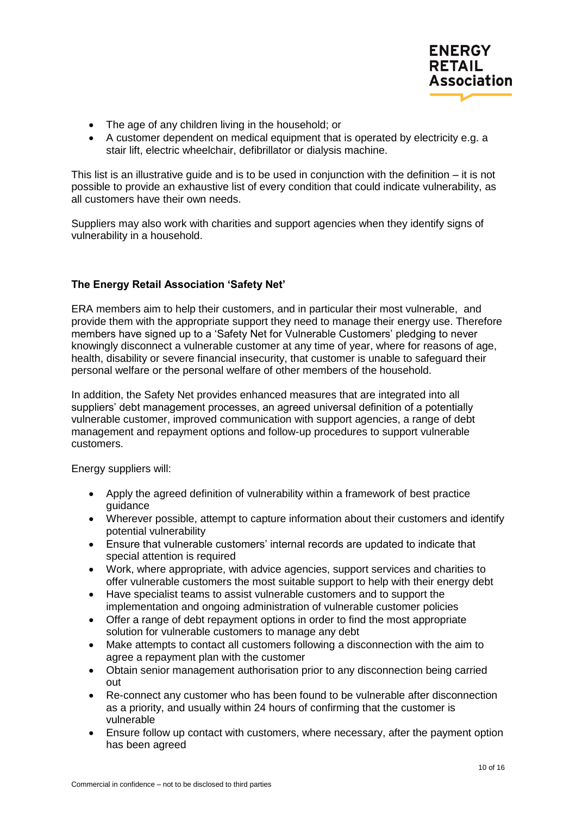

- The age of any children living in the household; or
- A customer dependent on medical equipment that is operated by electricity e.g. a stair lift, electric wheelchair, defibrillator or dialysis machine.

This list is an illustrative guide and is to be used in conjunction with the definition – it is not possible to provide an exhaustive list of every condition that could indicate vulnerability, as all customers have their own needs.

Suppliers may also work with charities and support agencies when they identify signs of vulnerability in a household.

# **The Energy Retail Association "Safety Net"**

ERA members aim to help their customers, and in particular their most vulnerable, and provide them with the appropriate support they need to manage their energy use. Therefore members have signed up to a 'Safety Net for Vulnerable Customers' pledging to never knowingly disconnect a vulnerable customer at any time of year, where for reasons of age, health, disability or severe financial insecurity, that customer is unable to safeguard their personal welfare or the personal welfare of other members of the household.

In addition, the Safety Net provides enhanced measures that are integrated into all suppliers' debt management processes, an agreed universal definition of a potentially vulnerable customer, improved communication with support agencies, a range of debt management and repayment options and follow-up procedures to support vulnerable customers.

Energy suppliers will:

- Apply the agreed definition of vulnerability within a framework of best practice guidance
- Wherever possible, attempt to capture information about their customers and identify potential vulnerability
- Ensure that vulnerable customers' internal records are updated to indicate that special attention is required
- Work, where appropriate, with advice agencies, support services and charities to offer vulnerable customers the most suitable support to help with their energy debt
- Have specialist teams to assist vulnerable customers and to support the implementation and ongoing administration of vulnerable customer policies
- Offer a range of debt repayment options in order to find the most appropriate solution for vulnerable customers to manage any debt
- Make attempts to contact all customers following a disconnection with the aim to agree a repayment plan with the customer
- Obtain senior management authorisation prior to any disconnection being carried out
- Re-connect any customer who has been found to be vulnerable after disconnection as a priority, and usually within 24 hours of confirming that the customer is vulnerable
- Ensure follow up contact with customers, where necessary, after the payment option has been agreed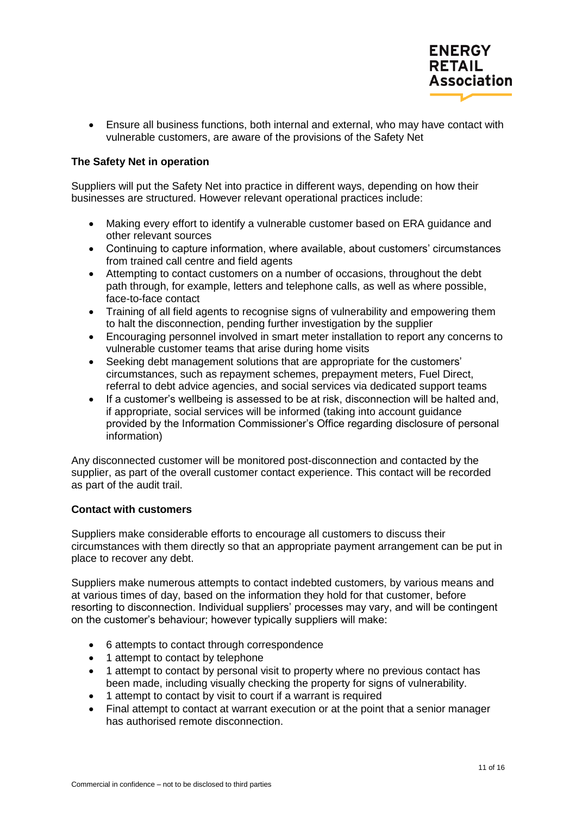

 Ensure all business functions, both internal and external, who may have contact with vulnerable customers, are aware of the provisions of the Safety Net

## **The Safety Net in operation**

Suppliers will put the Safety Net into practice in different ways, depending on how their businesses are structured. However relevant operational practices include:

- Making every effort to identify a vulnerable customer based on ERA guidance and other relevant sources
- Continuing to capture information, where available, about customers' circumstances from trained call centre and field agents
- Attempting to contact customers on a number of occasions, throughout the debt path through, for example, letters and telephone calls, as well as where possible, face-to-face contact
- Training of all field agents to recognise signs of vulnerability and empowering them to halt the disconnection, pending further investigation by the supplier
- Encouraging personnel involved in smart meter installation to report any concerns to vulnerable customer teams that arise during home visits
- Seeking debt management solutions that are appropriate for the customers' circumstances, such as repayment schemes, prepayment meters, Fuel Direct, referral to debt advice agencies, and social services via dedicated support teams
- If a customer's wellbeing is assessed to be at risk, disconnection will be halted and, if appropriate, social services will be informed (taking into account guidance provided by the Information Commissioner's Office regarding disclosure of personal information)

Any disconnected customer will be monitored post-disconnection and contacted by the supplier, as part of the overall customer contact experience. This contact will be recorded as part of the audit trail.

#### **Contact with customers**

Suppliers make considerable efforts to encourage all customers to discuss their circumstances with them directly so that an appropriate payment arrangement can be put in place to recover any debt.

Suppliers make numerous attempts to contact indebted customers, by various means and at various times of day, based on the information they hold for that customer, before resorting to disconnection. Individual suppliers' processes may vary, and will be contingent on the customer's behaviour; however typically suppliers will make:

- 6 attempts to contact through correspondence
- 1 attempt to contact by telephone
- 1 attempt to contact by personal visit to property where no previous contact has been made, including visually checking the property for signs of vulnerability.
- 1 attempt to contact by visit to court if a warrant is required
- Final attempt to contact at warrant execution or at the point that a senior manager has authorised remote disconnection.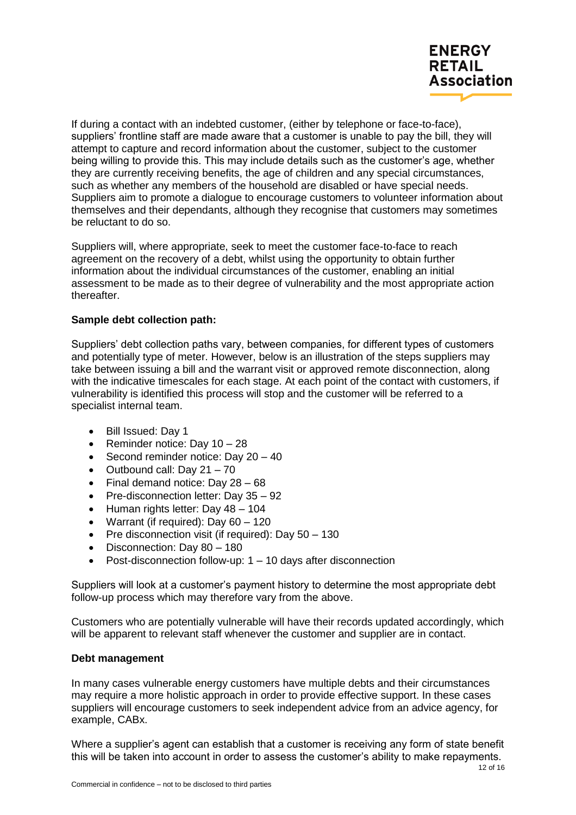

If during a contact with an indebted customer, (either by telephone or face-to-face), suppliers' frontline staff are made aware that a customer is unable to pay the bill, they will attempt to capture and record information about the customer, subject to the customer being willing to provide this. This may include details such as the customer's age, whether they are currently receiving benefits, the age of children and any special circumstances, such as whether any members of the household are disabled or have special needs. Suppliers aim to promote a dialogue to encourage customers to volunteer information about themselves and their dependants, although they recognise that customers may sometimes be reluctant to do so.

Suppliers will, where appropriate, seek to meet the customer face-to-face to reach agreement on the recovery of a debt, whilst using the opportunity to obtain further information about the individual circumstances of the customer, enabling an initial assessment to be made as to their degree of vulnerability and the most appropriate action thereafter.

## **Sample debt collection path:**

Suppliers' debt collection paths vary, between companies, for different types of customers and potentially type of meter. However, below is an illustration of the steps suppliers may take between issuing a bill and the warrant visit or approved remote disconnection, along with the indicative timescales for each stage. At each point of the contact with customers, if vulnerability is identified this process will stop and the customer will be referred to a specialist internal team.

- Bill Issued: Day 1
- Reminder notice: Day  $10 28$
- Second reminder notice: Day  $20 40$
- Outbound call: Day  $21 70$
- Final demand notice: Day 28 68
- Pre-disconnection letter: Day 35 92
- Human rights letter: Day 48 104
- Warrant (if required): Day 60 120
- Pre disconnection visit (if required): Day 50 130
- Disconnection: Day 80 180
- $\bullet$  Post-disconnection follow-up: 1 10 days after disconnection

Suppliers will look at a customer's payment history to determine the most appropriate debt follow-up process which may therefore vary from the above.

Customers who are potentially vulnerable will have their records updated accordingly, which will be apparent to relevant staff whenever the customer and supplier are in contact.

#### **Debt management**

In many cases vulnerable energy customers have multiple debts and their circumstances may require a more holistic approach in order to provide effective support. In these cases suppliers will encourage customers to seek independent advice from an advice agency, for example, CABx.

Where a supplier's agent can establish that a customer is receiving any form of state benefit this will be taken into account in order to assess the customer's ability to make repayments.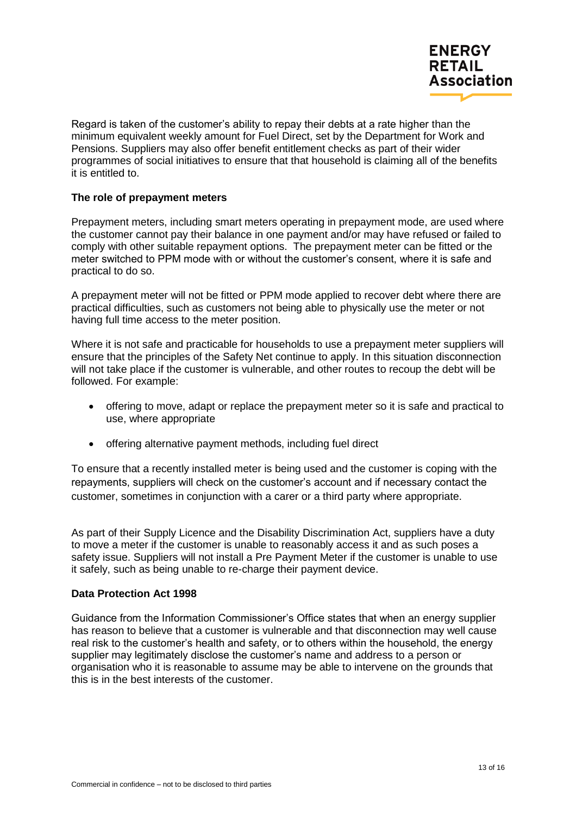

Regard is taken of the customer's ability to repay their debts at a rate higher than the minimum equivalent weekly amount for Fuel Direct, set by the Department for Work and Pensions. Suppliers may also offer benefit entitlement checks as part of their wider programmes of social initiatives to ensure that that household is claiming all of the benefits it is entitled to.

## **The role of prepayment meters**

Prepayment meters, including smart meters operating in prepayment mode, are used where the customer cannot pay their balance in one payment and/or may have refused or failed to comply with other suitable repayment options. The prepayment meter can be fitted or the meter switched to PPM mode with or without the customer's consent, where it is safe and practical to do so.

A prepayment meter will not be fitted or PPM mode applied to recover debt where there are practical difficulties, such as customers not being able to physically use the meter or not having full time access to the meter position.

Where it is not safe and practicable for households to use a prepayment meter suppliers will ensure that the principles of the Safety Net continue to apply. In this situation disconnection will not take place if the customer is vulnerable, and other routes to recoup the debt will be followed. For example:

- offering to move, adapt or replace the prepayment meter so it is safe and practical to use, where appropriate
- offering alternative payment methods, including fuel direct

To ensure that a recently installed meter is being used and the customer is coping with the repayments, suppliers will check on the customer's account and if necessary contact the customer, sometimes in conjunction with a carer or a third party where appropriate.

As part of their Supply Licence and the Disability Discrimination Act, suppliers have a duty to move a meter if the customer is unable to reasonably access it and as such poses a safety issue. Suppliers will not install a Pre Payment Meter if the customer is unable to use it safely, such as being unable to re-charge their payment device.

#### **Data Protection Act 1998**

Guidance from the Information Commissioner's Office states that when an energy supplier has reason to believe that a customer is vulnerable and that disconnection may well cause real risk to the customer's health and safety, or to others within the household, the energy supplier may legitimately disclose the customer's name and address to a person or organisation who it is reasonable to assume may be able to intervene on the grounds that this is in the best interests of the customer.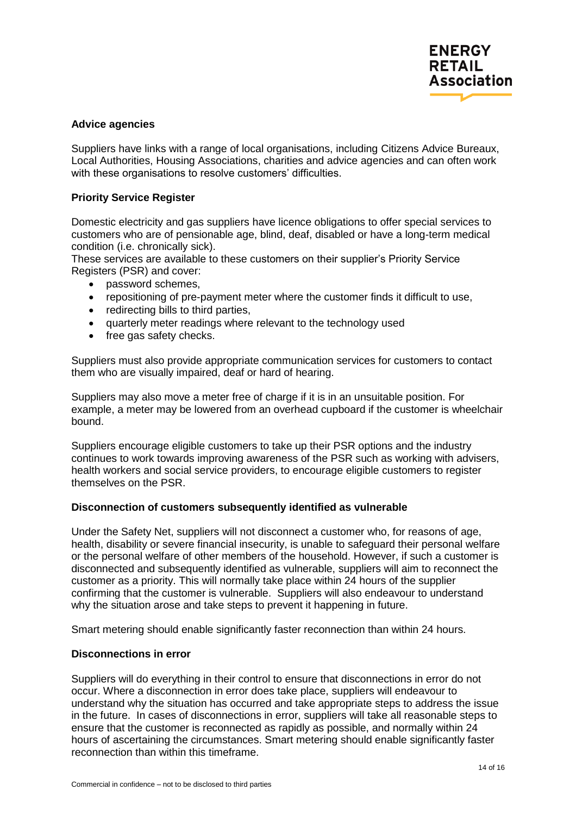#### **Advice agencies**

Suppliers have links with a range of local organisations, including Citizens Advice Bureaux, Local Authorities, Housing Associations, charities and advice agencies and can often work with these organisations to resolve customers' difficulties.

## **Priority Service Register**

Domestic electricity and gas suppliers have licence obligations to offer special services to customers who are of pensionable age, blind, deaf, disabled or have a long-term medical condition (i.e. chronically sick).

These services are available to these customers on their supplier's Priority Service Registers (PSR) and cover:

- password schemes,
- repositioning of pre-payment meter where the customer finds it difficult to use,
- redirecting bills to third parties,
- quarterly meter readings where relevant to the technology used
- free gas safety checks.

Suppliers must also provide appropriate communication services for customers to contact them who are visually impaired, deaf or hard of hearing.

Suppliers may also move a meter free of charge if it is in an unsuitable position. For example, a meter may be lowered from an overhead cupboard if the customer is wheelchair bound.

Suppliers encourage eligible customers to take up their PSR options and the industry continues to work towards improving awareness of the PSR such as working with advisers, health workers and social service providers, to encourage eligible customers to register themselves on the PSR.

#### **Disconnection of customers subsequently identified as vulnerable**

Under the Safety Net, suppliers will not disconnect a customer who, for reasons of age, health, disability or severe financial insecurity, is unable to safeguard their personal welfare or the personal welfare of other members of the household. However, if such a customer is disconnected and subsequently identified as vulnerable, suppliers will aim to reconnect the customer as a priority. This will normally take place within 24 hours of the supplier confirming that the customer is vulnerable. Suppliers will also endeavour to understand why the situation arose and take steps to prevent it happening in future.

Smart metering should enable significantly faster reconnection than within 24 hours.

## **Disconnections in error**

Suppliers will do everything in their control to ensure that disconnections in error do not occur. Where a disconnection in error does take place, suppliers will endeavour to understand why the situation has occurred and take appropriate steps to address the issue in the future. In cases of disconnections in error, suppliers will take all reasonable steps to ensure that the customer is reconnected as rapidly as possible, and normally within 24 hours of ascertaining the circumstances. Smart metering should enable significantly faster reconnection than within this timeframe.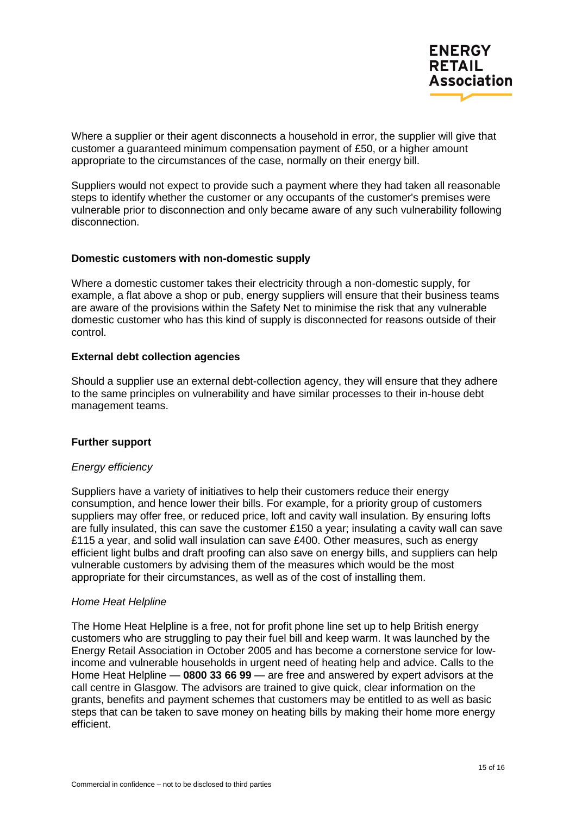Where a supplier or their agent disconnects a household in error, the supplier will give that customer a guaranteed minimum compensation payment of £50, or a higher amount appropriate to the circumstances of the case, normally on their energy bill.

Suppliers would not expect to provide such a payment where they had taken all reasonable steps to identify whether the customer or any occupants of the customer's premises were vulnerable prior to disconnection and only became aware of any such vulnerability following disconnection.

## **Domestic customers with non-domestic supply**

Where a domestic customer takes their electricity through a non-domestic supply, for example, a flat above a shop or pub, energy suppliers will ensure that their business teams are aware of the provisions within the Safety Net to minimise the risk that any vulnerable domestic customer who has this kind of supply is disconnected for reasons outside of their control.

## **External debt collection agencies**

Should a supplier use an external debt-collection agency, they will ensure that they adhere to the same principles on vulnerability and have similar processes to their in-house debt management teams.

# **Further support**

#### *Energy efficiency*

Suppliers have a variety of initiatives to help their customers reduce their energy consumption, and hence lower their bills. For example, for a priority group of customers suppliers may offer free, or reduced price, loft and cavity wall insulation. By ensuring lofts are fully insulated, this can save the customer £150 a year; insulating a cavity wall can save £115 a year, and solid wall insulation can save £400. Other measures, such as energy efficient light bulbs and draft proofing can also save on energy bills, and suppliers can help vulnerable customers by advising them of the measures which would be the most appropriate for their circumstances, as well as of the cost of installing them.

#### *Home Heat Helpline*

The Home Heat Helpline is a free, not for profit phone line set up to help British energy customers who are struggling to pay their fuel bill and keep warm. It was launched by the Energy Retail Association in October 2005 and has become a cornerstone service for lowincome and vulnerable households in urgent need of heating help and advice. Calls to the Home Heat Helpline — **0800 33 66 99** — are free and answered by expert advisors at the call centre in Glasgow. The advisors are trained to give quick, clear information on the grants, benefits and payment schemes that customers may be entitled to as well as basic steps that can be taken to save money on heating bills by making their home more energy efficient.